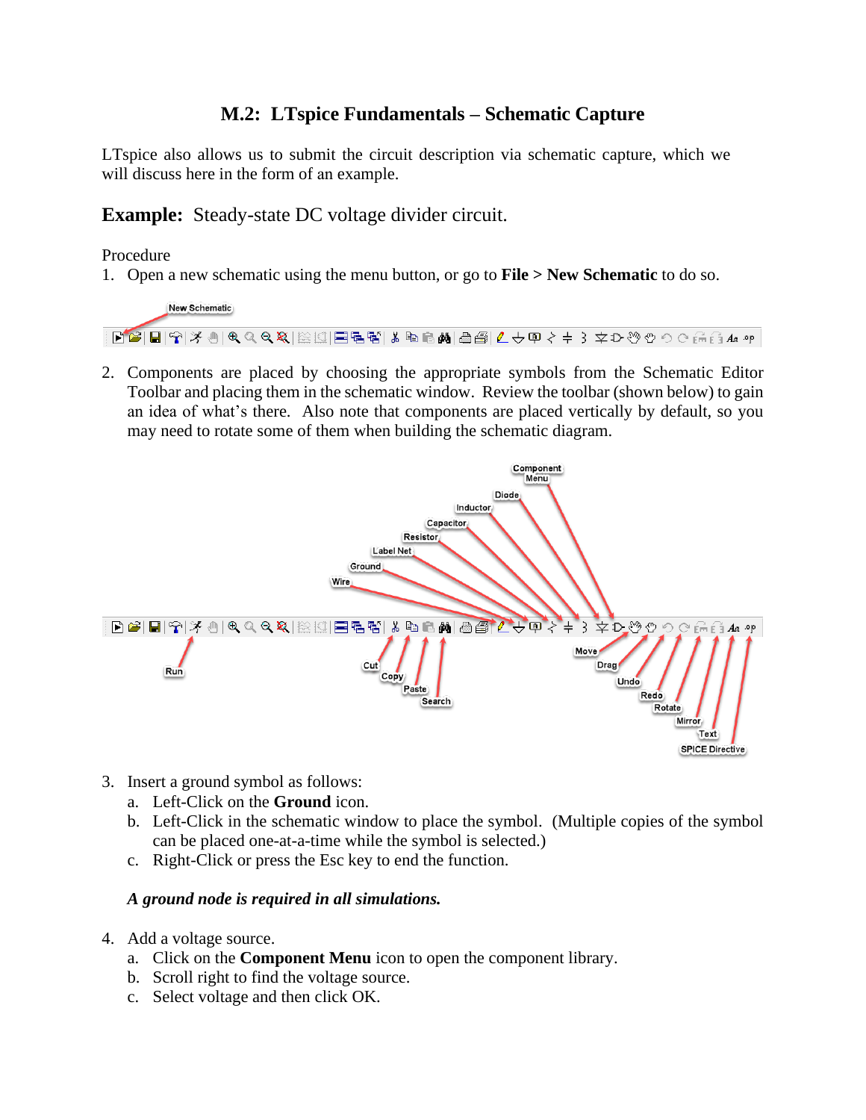## **M.2: LTspice Fundamentals – Schematic Capture**

LTspice also allows us to submit the circuit description via schematic capture, which we will discuss here in the form of an example.

**Example:** Steady-state DC voltage divider circuit.

## Procedure

1. Open a new schematic using the menu button, or go to **File > New Schematic** to do so.



2. Components are placed by choosing the appropriate symbols from the Schematic Editor Toolbar and placing them in the schematic window. Review the toolbar (shown below) to gain an idea of what's there. Also note that components are placed vertically by default, so you may need to rotate some of them when building the schematic diagram.



- 3. Insert a ground symbol as follows:
	- a. Left-Click on the **Ground** icon.
	- b. Left-Click in the schematic window to place the symbol. (Multiple copies of the symbol can be placed one-at-a-time while the symbol is selected.)
	- c. Right-Click or press the Esc key to end the function.

## *A ground node is required in all simulations.*

- 4. Add a voltage source.
	- a. Click on the **Component Menu** icon to open the component library.
	- b. Scroll right to find the voltage source.
	- c. Select voltage and then click OK.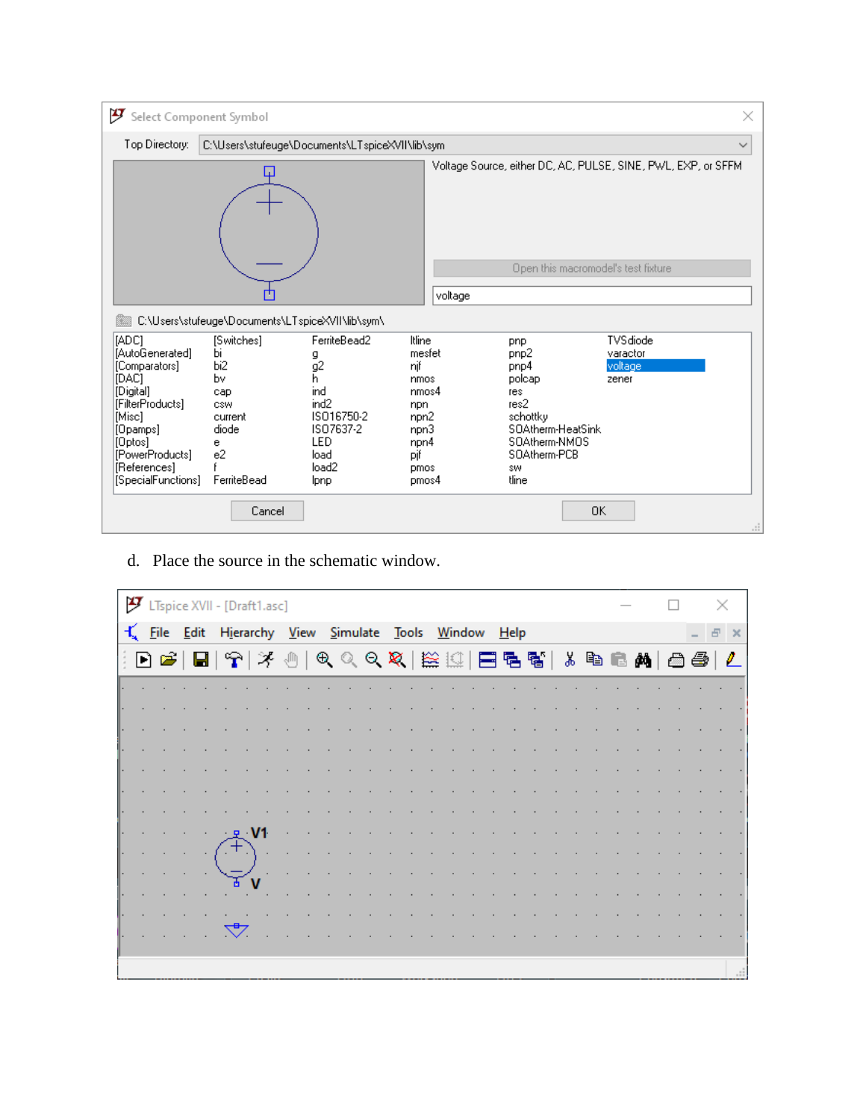

d. Place the source in the schematic window.

|  | $\mathcal F$ LTspice XVII - [Draft1.asc]                                                                                                                                                                                                                                                                                                                                                                                            |                  |      |              |  |  |  |  |  |  |  |  |  |  |  |
|--|-------------------------------------------------------------------------------------------------------------------------------------------------------------------------------------------------------------------------------------------------------------------------------------------------------------------------------------------------------------------------------------------------------------------------------------|------------------|------|--------------|--|--|--|--|--|--|--|--|--|--|--|
|  | K File Edit Hierarchy View Simulate Tools Window Help                                                                                                                                                                                                                                                                                                                                                                               |                  |      |              |  |  |  |  |  |  |  |  |  |  |  |
|  | $ \mathbf{A} \geq  \mathbf{B} \geq  \mathbf{A} \geq  \mathbf{A} \geq  \mathbf{A} \geq  \mathbf{A} \geq  \mathbf{A} \geq  \mathbf{A} \geq  \mathbf{A} \geq  \mathbf{A} \geq  \mathbf{A} \geq  \mathbf{A} \geq  \mathbf{A} \geq  \mathbf{A} \geq  \mathbf{A} \geq  \mathbf{A} \geq  \mathbf{A} \geq  \mathbf{A} \geq  \mathbf{A} \geq  \mathbf{A} \geq  \mathbf{A} \geq  \mathbf{A} \geq  \mathbf{A} \geq  \mathbf{A} \geq  \mathbf{$ |                  |      |              |  |  |  |  |  |  |  |  |  |  |  |
|  |                                                                                                                                                                                                                                                                                                                                                                                                                                     |                  |      |              |  |  |  |  |  |  |  |  |  |  |  |
|  |                                                                                                                                                                                                                                                                                                                                                                                                                                     |                  |      |              |  |  |  |  |  |  |  |  |  |  |  |
|  |                                                                                                                                                                                                                                                                                                                                                                                                                                     |                  |      |              |  |  |  |  |  |  |  |  |  |  |  |
|  |                                                                                                                                                                                                                                                                                                                                                                                                                                     |                  |      |              |  |  |  |  |  |  |  |  |  |  |  |
|  |                                                                                                                                                                                                                                                                                                                                                                                                                                     |                  |      |              |  |  |  |  |  |  |  |  |  |  |  |
|  |                                                                                                                                                                                                                                                                                                                                                                                                                                     |                  |      |              |  |  |  |  |  |  |  |  |  |  |  |
|  |                                                                                                                                                                                                                                                                                                                                                                                                                                     |                  |      |              |  |  |  |  |  |  |  |  |  |  |  |
|  |                                                                                                                                                                                                                                                                                                                                                                                                                                     | $\sim$ 10 $\sim$ | イナキー | $\mathbf{V}$ |  |  |  |  |  |  |  |  |  |  |  |
|  |                                                                                                                                                                                                                                                                                                                                                                                                                                     |                  |      |              |  |  |  |  |  |  |  |  |  |  |  |
|  |                                                                                                                                                                                                                                                                                                                                                                                                                                     |                  |      |              |  |  |  |  |  |  |  |  |  |  |  |
|  |                                                                                                                                                                                                                                                                                                                                                                                                                                     |                  |      |              |  |  |  |  |  |  |  |  |  |  |  |
|  |                                                                                                                                                                                                                                                                                                                                                                                                                                     | $\mathbb{Z}$     |      |              |  |  |  |  |  |  |  |  |  |  |  |
|  |                                                                                                                                                                                                                                                                                                                                                                                                                                     |                  |      |              |  |  |  |  |  |  |  |  |  |  |  |
|  |                                                                                                                                                                                                                                                                                                                                                                                                                                     |                  |      |              |  |  |  |  |  |  |  |  |  |  |  |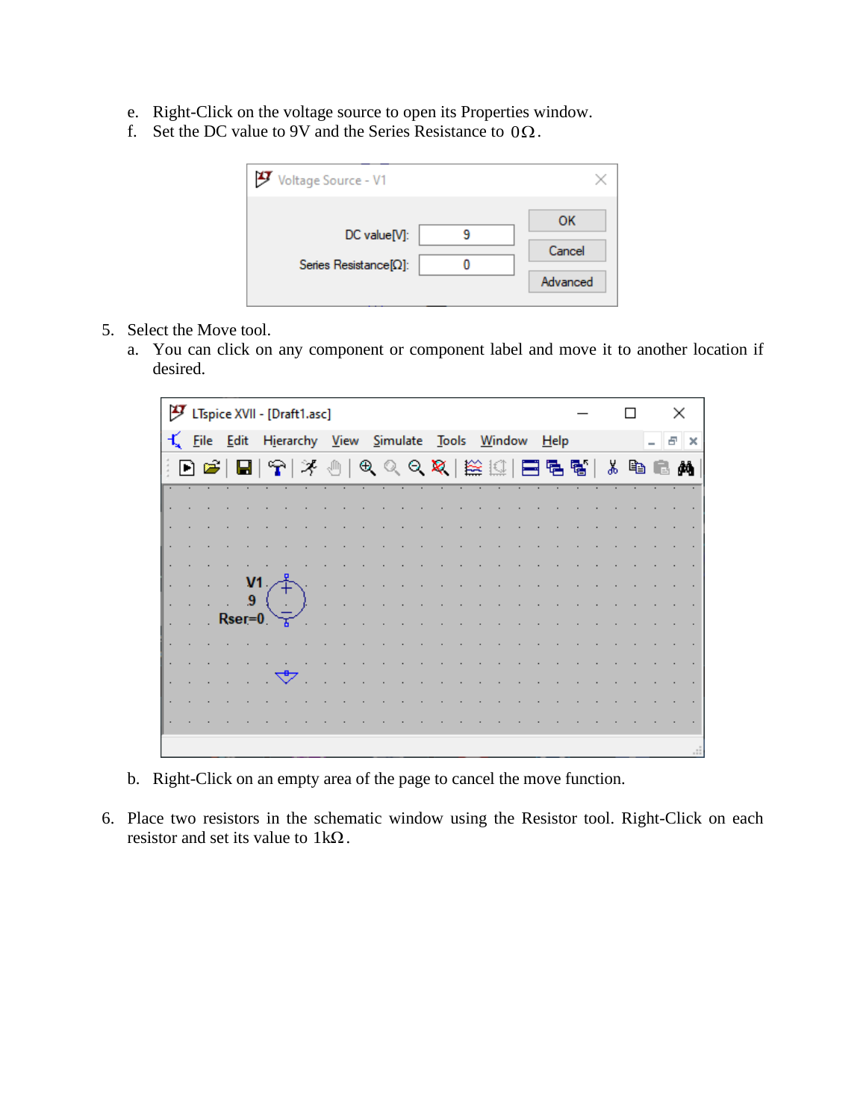- e. Right-Click on the voltage source to open its Properties window.
- f. Set the DC value to 9V and the Series Resistance to  $0\Omega$ .

| Voltage Source - V1                            |                          |
|------------------------------------------------|--------------------------|
| DC value[V]:<br>Series Resistance $[\Omega]$ : | ок<br>Cancel<br>Advanced |

- 5. Select the Move tool.
	- a. You can click on any component or component label and move it to another location if desired.

|    |    | [9] LTspice XVII - [Draft1.asc] |    |                                 |  |  |  |  |       |  |                                               |  |      |  |  |     | × |                       |
|----|----|---------------------------------|----|---------------------------------|--|--|--|--|-------|--|-----------------------------------------------|--|------|--|--|-----|---|-----------------------|
|    |    | $\pm$ File Edit                 |    | Hierarchy <u>V</u> iew Simulate |  |  |  |  | Tools |  | <u>W</u> indow                                |  | Help |  |  | - 8 |   | $\boldsymbol{\times}$ |
| D. | E) |                                 |    | [대우]                            |  |  |  |  |       |  | ※ ⑩│ 9人 Q Q Q (22)   22    □ 己 탑 탑│ ぶ �� �� A |  |      |  |  |     |   |                       |
|    |    |                                 |    |                                 |  |  |  |  |       |  |                                               |  |      |  |  |     |   |                       |
|    |    |                                 |    |                                 |  |  |  |  |       |  |                                               |  |      |  |  |     |   |                       |
|    |    |                                 |    |                                 |  |  |  |  |       |  |                                               |  |      |  |  |     |   |                       |
|    |    |                                 |    |                                 |  |  |  |  |       |  |                                               |  |      |  |  |     |   |                       |
|    |    |                                 | V1 |                                 |  |  |  |  |       |  |                                               |  |      |  |  |     |   |                       |
|    |    |                                 | 9  |                                 |  |  |  |  |       |  |                                               |  |      |  |  |     |   |                       |
|    |    | $Rser=0$                        |    |                                 |  |  |  |  |       |  |                                               |  |      |  |  |     |   |                       |
|    |    |                                 |    |                                 |  |  |  |  |       |  |                                               |  |      |  |  |     |   |                       |
|    |    |                                 |    |                                 |  |  |  |  |       |  |                                               |  |      |  |  |     |   |                       |
|    |    |                                 |    |                                 |  |  |  |  |       |  |                                               |  |      |  |  |     |   |                       |
|    |    |                                 |    |                                 |  |  |  |  |       |  |                                               |  |      |  |  |     |   |                       |
|    |    |                                 |    |                                 |  |  |  |  |       |  |                                               |  |      |  |  |     |   |                       |
|    |    |                                 |    |                                 |  |  |  |  |       |  |                                               |  |      |  |  |     |   |                       |
|    |    |                                 |    |                                 |  |  |  |  |       |  |                                               |  |      |  |  |     |   |                       |

- b. Right-Click on an empty area of the page to cancel the move function.
- 6. Place two resistors in the schematic window using the Resistor tool. Right-Click on each resistor and set its value to  $1k\Omega$ .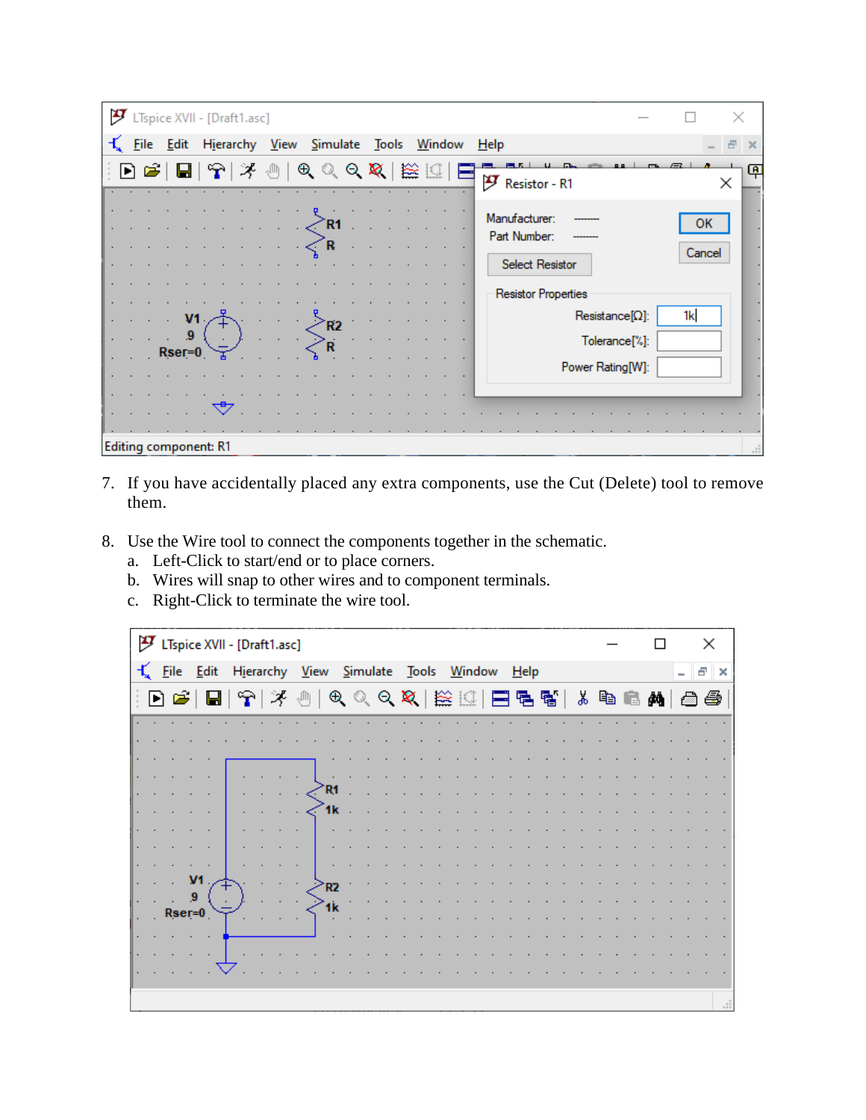| グ |                                     | LTspice XVII - [Draft1.asc]        |                                    |                |                                                         |              |
|---|-------------------------------------|------------------------------------|------------------------------------|----------------|---------------------------------------------------------|--------------|
|   | File Edit                           |                                    | Hierarchy View Simulate Tools      | <u>W</u> indow | $He$ lp                                                 |              |
|   | $\mathbf{D} \mathbf{E}^{\prime}$ bi | $ \mathbf{P}  \times \mathbf{0}$ . | $\mathbb{R}^d \times \mathbb{R}^d$ | 一篇             | F Resistor - R1                                         | 闸<br>×       |
|   |                                     |                                    | R1<br>R                            |                | Manufacturer:<br>Part Number:<br><b>Select Resistor</b> | ок<br>Cancel |
|   | V <sub>1</sub>                      |                                    |                                    |                | <b>Resistor Properties</b><br>$Resistance[{\Omega}]$ :  | 1k           |
|   | -9<br>$Rser=0$                      |                                    | R <sub>2</sub>                     |                | Tolerance <sup>[%]</sup> :<br>Power Rating[W]:          |              |
|   |                                     |                                    |                                    |                |                                                         |              |
|   |                                     | <b>Editing component: R1</b>       |                                    |                |                                                         |              |

- 7. If you have accidentally placed any extra components, use the Cut (Delete) tool to remove them.
- 8. Use the Wire tool to connect the components together in the schematic.
	- a. Left-Click to start/end or to place corners.
	- b. Wires will snap to other wires and to component terminals.
	- c. Right-Click to terminate the wire tool.

|   |    | LTspice XVII - [Draft1.asc] |                                |                               |                                                                                                                          |  |               |  |      |  |  |   |   |   | ×  |          |
|---|----|-----------------------------|--------------------------------|-------------------------------|--------------------------------------------------------------------------------------------------------------------------|--|---------------|--|------|--|--|---|---|---|----|----------|
| 玉 |    | File Edit                   |                                | Hierarchy View Simulate Tools |                                                                                                                          |  | <b>Window</b> |  | Help |  |  |   |   | - | Ð  | $\times$ |
|   | đe | $\blacksquare$              | $\mathbb{R} \times \mathbb{R}$ |                               | $\mathfrak{G} \otimes \mathfrak{S} \otimes \mathbb{Z} \otimes \mathbb{Z}$ . The set of $\mathfrak{S} \otimes \mathbb{Z}$ |  |               |  |      |  |  | G | Å |   | 66 |          |
|   |    |                             |                                |                               |                                                                                                                          |  |               |  |      |  |  |   |   |   |    |          |
|   |    |                             |                                |                               |                                                                                                                          |  |               |  |      |  |  |   |   |   |    |          |
|   |    |                             |                                |                               |                                                                                                                          |  |               |  |      |  |  |   |   |   |    |          |
|   |    |                             |                                | ∕R1                           |                                                                                                                          |  |               |  |      |  |  |   |   |   |    |          |
|   |    |                             |                                | 1k                            |                                                                                                                          |  |               |  |      |  |  |   |   |   |    |          |
|   |    |                             |                                |                               |                                                                                                                          |  |               |  |      |  |  |   |   |   |    |          |
|   |    |                             |                                |                               |                                                                                                                          |  |               |  |      |  |  |   |   |   |    |          |
|   |    |                             |                                |                               |                                                                                                                          |  |               |  |      |  |  |   |   |   |    |          |
|   |    | 9                           |                                | ≧R2                           |                                                                                                                          |  |               |  |      |  |  |   |   |   |    |          |
|   |    | $Rser=0$                    |                                |                               |                                                                                                                          |  |               |  |      |  |  |   |   |   |    |          |
|   |    |                             |                                |                               |                                                                                                                          |  |               |  |      |  |  |   |   |   |    |          |
|   |    |                             |                                |                               |                                                                                                                          |  |               |  |      |  |  |   |   |   |    |          |
|   |    |                             |                                |                               |                                                                                                                          |  |               |  |      |  |  |   |   |   |    |          |
|   |    |                             |                                |                               |                                                                                                                          |  |               |  |      |  |  |   |   |   |    | $\cdot$  |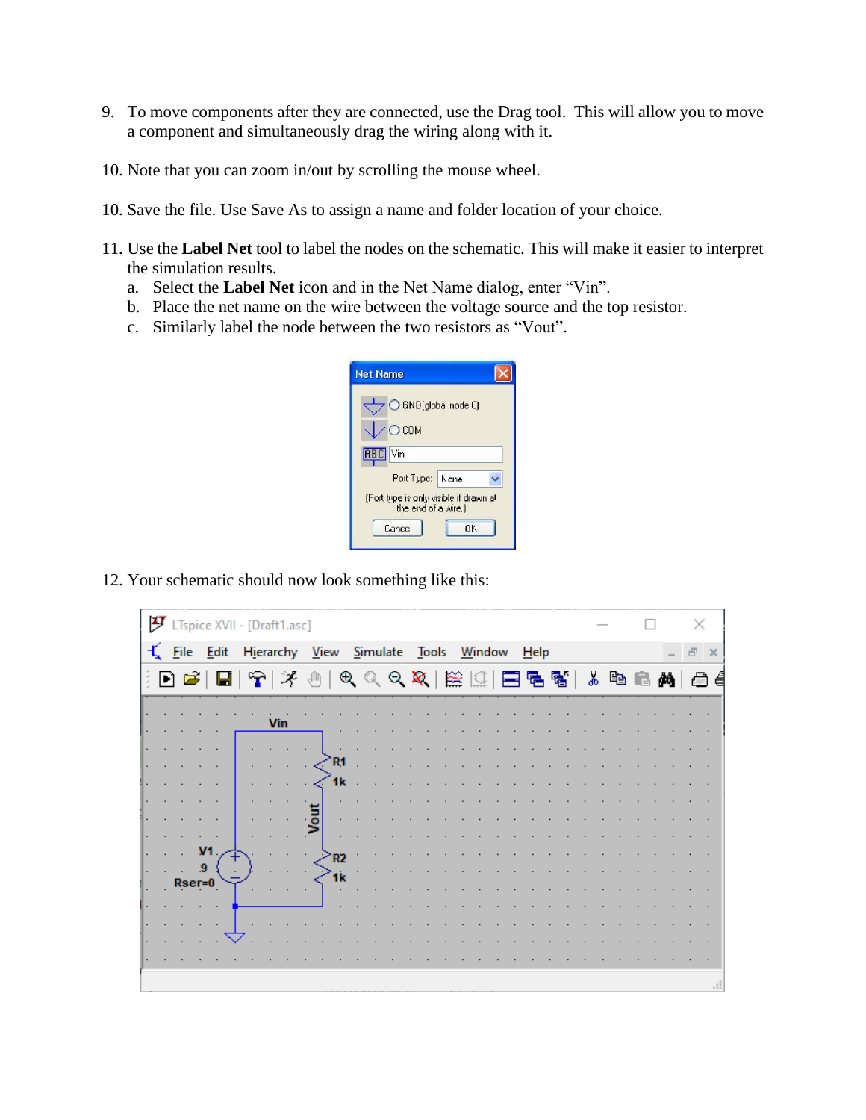- 9. To move components after they are connected, use the Drag tool. This will allow you to move a component and simultaneously drag the wiring along with it.
- 10. Note that you can zoom in/out by scrolling the mouse wheel.
- 10. Save the file. Use Save As to assign a name and folder location of your choice.
- 11. Use the **Label Net** tool to label the nodes on the schematic. This will make it easier to interpret the simulation results.
	- a. Select the **Label Net** icon and in the Net Name dialog, enter "Vin".
	- b. Place the net name on the wire between the voltage source and the top resistor.
	- c. Similarly label the node between the two resistors as "Vout".

| <b>Net Name</b>                                                             |    |  |
|-----------------------------------------------------------------------------|----|--|
| GND(global node 0)<br>COM                                                   |    |  |
| <b>RBC</b> Vin<br>Port Type: None<br>(Port type is only visible if drawn at |    |  |
| the end of a wire.)<br>Cancel                                               | OK |  |

12. Your schematic should now look something like this:

| ӌ |          |                         | LTspice XVII - [Draft1.asc]                                           |                |                                                                                                                                                        |  |  |  |  |         |  |  |  |  | × |          |
|---|----------|-------------------------|-----------------------------------------------------------------------|----------------|--------------------------------------------------------------------------------------------------------------------------------------------------------|--|--|--|--|---------|--|--|--|--|---|----------|
|   |          | $\frac{1}{2}$ File Edit | Hierarchy View Simulate Tools Window                                  |                |                                                                                                                                                        |  |  |  |  | $H$ elp |  |  |  |  | 日 | $\times$ |
|   |          |                         | $\textbf{E} \in \mathbb{R}^{ E }$ , $\textbf{E} \in \mathbb{R}^{ E }$ |                | $\mathfrak{R} \otimes \mathfrak{R} \otimes \mathbb{R}$ ( $\boxdot$ ) $\boxdot$ ) $\boxdot$ ) $\boxdot$ ) $\boxdot$ ) $\mathfrak{R} \otimes \mathbb{R}$ |  |  |  |  |         |  |  |  |  |   | a é      |
|   |          |                         |                                                                       |                |                                                                                                                                                        |  |  |  |  |         |  |  |  |  |   |          |
|   |          |                         | Vin                                                                   |                |                                                                                                                                                        |  |  |  |  |         |  |  |  |  |   |          |
|   |          |                         |                                                                       | R1             |                                                                                                                                                        |  |  |  |  |         |  |  |  |  |   |          |
|   |          |                         |                                                                       | 1k             |                                                                                                                                                        |  |  |  |  |         |  |  |  |  |   |          |
|   |          |                         |                                                                       |                |                                                                                                                                                        |  |  |  |  |         |  |  |  |  |   |          |
|   |          |                         |                                                                       |                |                                                                                                                                                        |  |  |  |  |         |  |  |  |  |   |          |
|   |          |                         |                                                                       |                |                                                                                                                                                        |  |  |  |  |         |  |  |  |  |   |          |
|   |          | V <sub>1</sub><br>9     |                                                                       | R <sub>2</sub> |                                                                                                                                                        |  |  |  |  |         |  |  |  |  |   |          |
|   | $Rser=0$ |                         |                                                                       | 1k             |                                                                                                                                                        |  |  |  |  |         |  |  |  |  |   |          |
|   |          |                         |                                                                       |                |                                                                                                                                                        |  |  |  |  |         |  |  |  |  |   |          |
|   |          |                         |                                                                       |                |                                                                                                                                                        |  |  |  |  |         |  |  |  |  |   |          |
|   |          |                         |                                                                       |                |                                                                                                                                                        |  |  |  |  |         |  |  |  |  |   |          |
|   |          |                         |                                                                       |                |                                                                                                                                                        |  |  |  |  |         |  |  |  |  |   |          |
|   |          |                         |                                                                       |                |                                                                                                                                                        |  |  |  |  |         |  |  |  |  |   |          |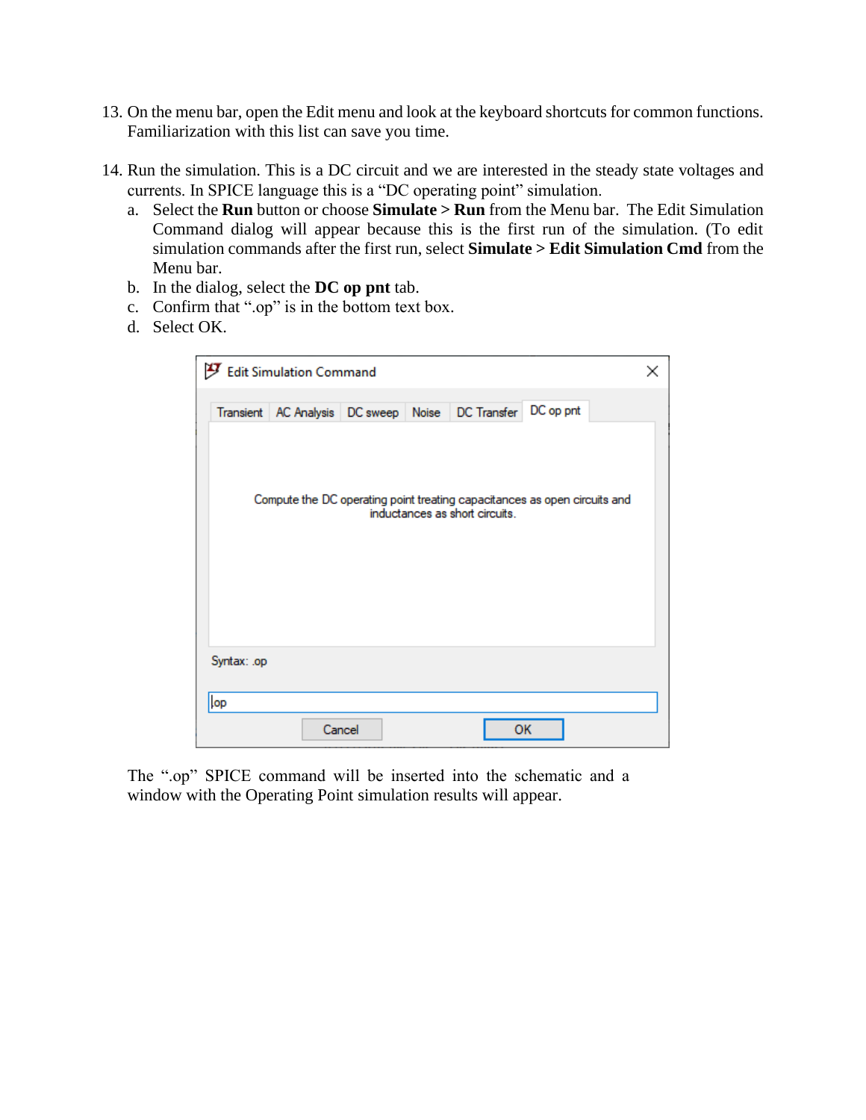- 13. On the menu bar, open the Edit menu and look at the keyboard shortcuts for common functions. Familiarization with this list can save you time.
- 14. Run the simulation. This is a DC circuit and we are interested in the steady state voltages and currents. In SPICE language this is a "DC operating point" simulation.
	- a. Select the **Run** button or choose **Simulate > Run** from the Menu bar. The Edit Simulation Command dialog will appear because this is the first run of the simulation. (To edit simulation commands after the first run, select **Simulate > Edit Simulation Cmd** from the Menu bar.
	- b. In the dialog, select the **DC op pnt** tab.
	- c. Confirm that ".op" is in the bottom text box.
	- d. Select OK.

| Edit Simulation Command                                                                                     | × |
|-------------------------------------------------------------------------------------------------------------|---|
| Transient   AC Analysis   DC sweep   Noise   DC Transfer   DC op pnt                                        |   |
|                                                                                                             |   |
| Compute the DC operating point treating capacitances as open circuits and<br>inductances as short circuits. |   |
|                                                                                                             |   |
|                                                                                                             |   |
|                                                                                                             |   |
| Syntax: .op                                                                                                 |   |
| lop                                                                                                         |   |
| Cancel<br>OK                                                                                                |   |

The ".op" SPICE command will be inserted into the schematic and a window with the Operating Point simulation results will appear.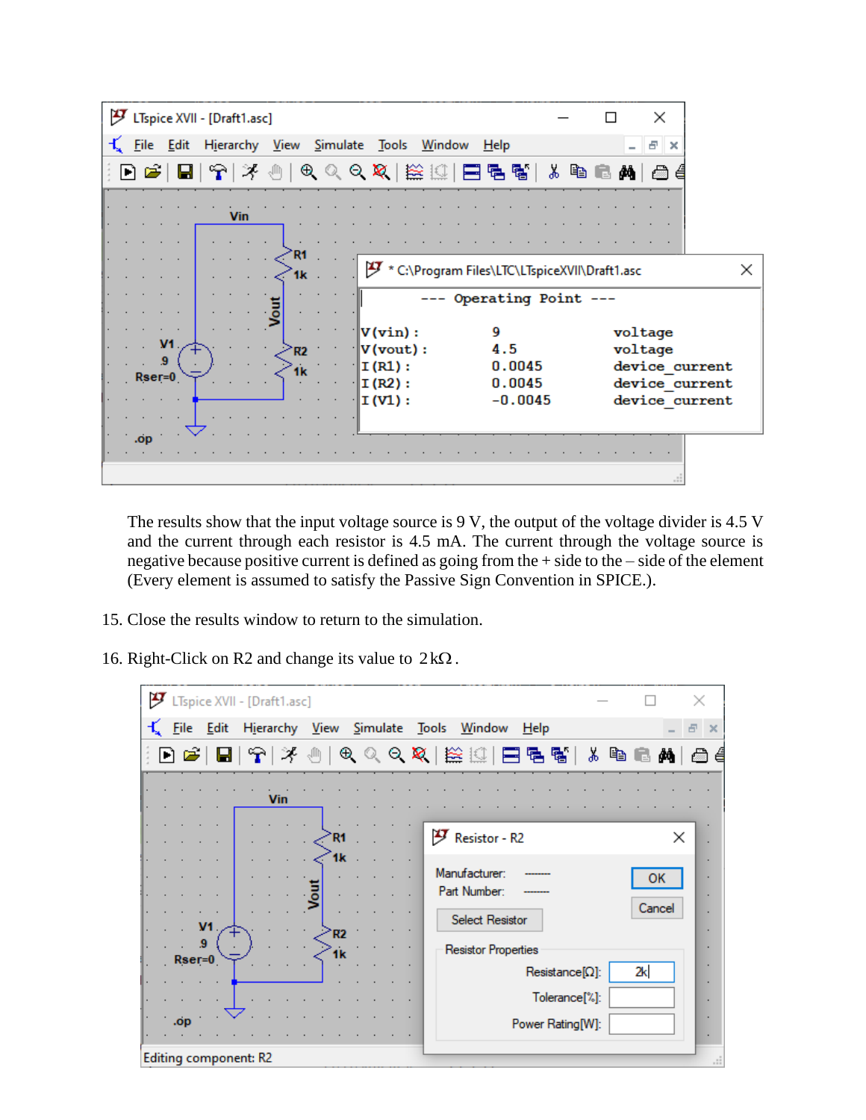| ӌ<br>LTspice XVII - [Draft1.asc]                              |                                                                                                      | ×                                                                        |
|---------------------------------------------------------------|------------------------------------------------------------------------------------------------------|--------------------------------------------------------------------------|
| Eile Edit<br>Hierarchy View Simulate                          | Tools<br><b>Window</b><br>$He$ lp                                                                    | Ð<br>$\times$                                                            |
| $\blacksquare$                                                | 9이 가 ①   ① 이 이 이 있   ## !!!   EI 팀 탑 탑                                                               | <b>ABBA</b><br>ГÒ<br>€                                                   |
| <b>Vin</b>                                                    |                                                                                                      |                                                                          |
| R1<br>1k                                                      | IJ<br>* C:\Program Files\LTC\LTspiceXVII\Draft1.asc                                                  | ×                                                                        |
|                                                               | --- Operating Point ---                                                                              |                                                                          |
| V <sub>1</sub><br>R <sub>2</sub><br>$\cdot$<br>1k<br>$Rser=0$ | 9<br>V(vin):<br>4.5<br>V(vout):<br>0.0045<br>I (R1) :<br>0.0045<br>I (R2) :<br>$-0.0045$<br>I (V1) : | voltage<br>voltage<br>device current<br>device current<br>device current |
| .op                                                           |                                                                                                      |                                                                          |

The results show that the input voltage source is 9 V, the output of the voltage divider is 4.5 V and the current through each resistor is 4.5 mA. The current through the voltage source is negative because positive current is defined as going from the + side to the – side of the element (Every element is assumed to satisfy the Passive Sign Convention in SPICE.).

- 15. Close the results window to return to the simulation.
- 16. Right-Click on R2 and change its value to  $2k\Omega$ .

| ӌ |             |                | LTspice XVII - [Draft1.asc] |                  |  |                                                                         |              | ×        |
|---|-------------|----------------|-----------------------------|------------------|--|-------------------------------------------------------------------------|--------------|----------|
|   | <b>File</b> | Edit           | Hierarchy View Simulate     |                  |  | Tools Window<br>Help                                                    |              | $\times$ |
|   |             |                |                             |                  |  | D 2   B   6   7   3   0   0 Q Q Q   12   12   E   5   5   3   6   6   A |              | 傽        |
|   |             |                | Vin                         |                  |  |                                                                         |              |          |
|   |             |                |                             | R1               |  | 歺<br>Resistor - R2                                                      | ×            |          |
|   |             | V <sub>1</sub> |                             | 1k<br>್ತಿ<br>≧R2 |  | Manufacturer:<br>Part Number:<br><b>Select Resistor</b>                 | ок<br>Cancel |          |
|   | $Rser=0$    | 9              |                             | 1k               |  | <b>Resistor Properties</b>                                              |              |          |
|   |             |                |                             |                  |  | $Resistance[Ω]$ :<br>Tolerance <sup>[%]</sup> :                         | 2k           |          |
|   | .op         |                |                             |                  |  | Power Rating[W]:                                                        |              |          |
|   |             |                | Editing component: R2       |                  |  |                                                                         |              |          |